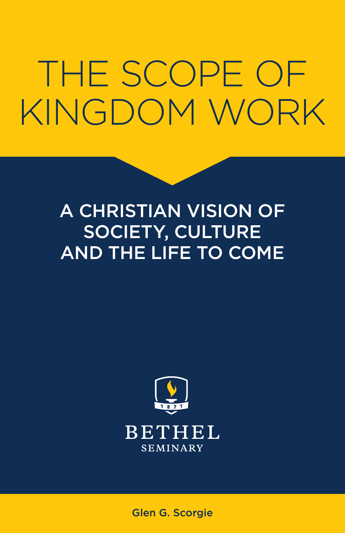## THE SCOPE OF KINGDOM WORK

#### A CHRISTIAN VISION OF SOCIETY, CULTURE AND THE LIFE TO COME



Glen G. Scorgie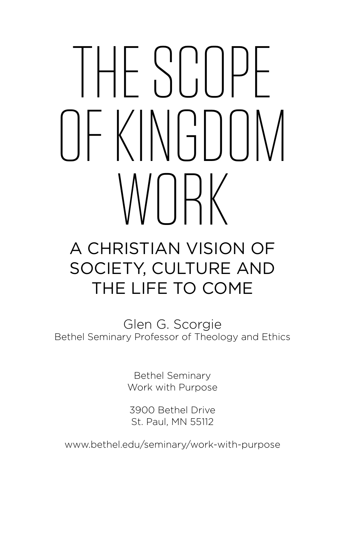# THE SCOPE UFKINGDOM WIK

#### A CHRISTIAN VISION OF SOCIETY, CULTURE AND THE LIFE TO COME

Glen G. Scorgie Bethel Seminary Professor of Theology and Ethics

> Bethel Seminary Work with Purpose

3900 Bethel Drive St. Paul, MN 55112

www.bethel.edu/seminary/work-with-purpose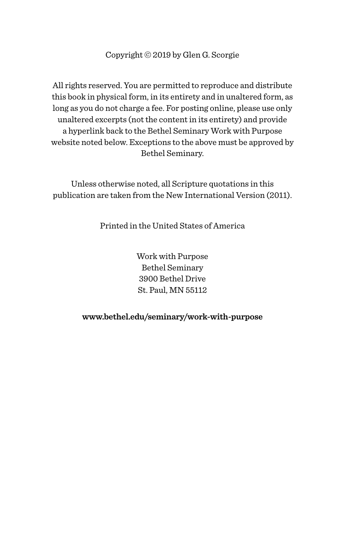Copyright © 2019 by Glen G. Scorgie

All rights reserved. You are permitted to reproduce and distribute this book in physical form, in its entirety and in unaltered form, as long as you do not charge a fee. For posting online, please use only unaltered excerpts (not the content in its entirety) and provide a hyperlink back to the Bethel Seminary Work with Purpose website noted below. Exceptions to the above must be approved by Bethel Seminary.

Unless otherwise noted, all Scripture quotations in this publication are taken from the New International Version (2011).

Printed in the United States of America

Work with Purpose Bethel Seminary 3900 Bethel Drive St. Paul, MN 55112

#### **www.bethel.edu/seminary/work-with-purpose**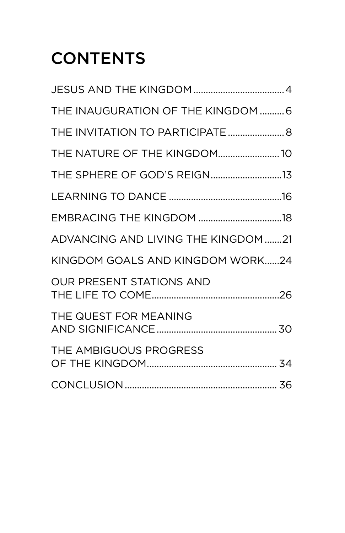### **CONTENTS**

| THE INAUGURATION OF THE KINGDOM  6  |  |
|-------------------------------------|--|
|                                     |  |
| THE NATURE OF THE KINGDOM 10        |  |
| THE SPHERE OF GOD'S REIGN13         |  |
|                                     |  |
| EMBRACING THE KINGDOM 18            |  |
| ADVANCING AND LIVING THE KINGDOM 21 |  |
| KINGDOM GOALS AND KINGDOM WORK24    |  |
| OUR PRESENT STATIONS AND            |  |
| THE QUEST FOR MEANING               |  |
| THE AMBIGUOUS PROGRESS              |  |
|                                     |  |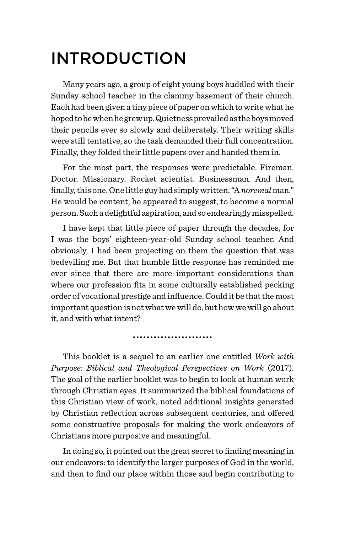#### INTRODUCTION

Many years ago, a group of eight young boys huddled with their Sunday school teacher in the clammy basement of their church. Each had been given a tiny piece of paper on which to write what he hoped to be when he grew up. Quietness prevailed as the boys moved their pencils ever so slowly and deliberately. Their writing skills were still tentative, so the task demanded their full concentration. Finally, they folded their little papers over and handed them in.

For the most part, the responses were predictable. Fireman. Doctor. Missionary. Rocket scientist. Businessman. And then, finally, this one. One little guy had simply written: "A *noremal* man." He would be content, he appeared to suggest, to become a normal person. Such a delightful aspiration, and so endearingly misspelled.

I have kept that little piece of paper through the decades, for I was the boys' eighteen-year-old Sunday school teacher. And obviously, I had been projecting on them the question that was bedeviling me. But that humble little response has reminded me ever since that there are more important considerations than where our profession fits in some culturally established pecking order of vocational prestige and influence. Could it be that the most important question is not what we will do, but how we will go about it, and with what intent?

This booklet is a sequel to an earlier one entitled *Work with Purpose: Biblical and Theological Perspectives on Work* (2017). The goal of the earlier booklet was to begin to look at human work through Christian eyes. It summarized the biblical foundations of this Christian view of work, noted additional insights generated by Christian reflection across subsequent centuries, and offered some constructive proposals for making the work endeavors of Christians more purposive and meaningful.

In doing so, it pointed out the great secret to finding meaning in our endeavors: to identify the larger purposes of God in the world, and then to find our place within those and begin contributing to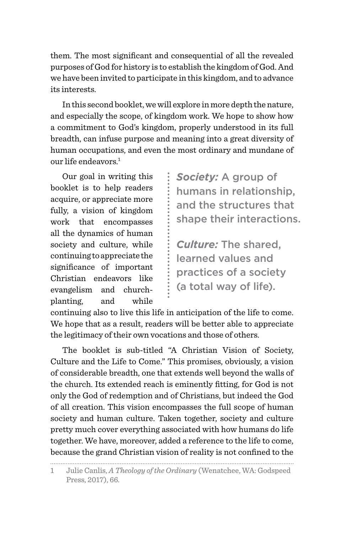them. The most significant and consequential of all the revealed purposes of God for history is to establish the kingdom of God. And we have been invited to participate in this kingdom, and to advance its interests.

In this second booklet, we will explore in more depth the nature, and especially the scope, of kingdom work. We hope to show how a commitment to God's kingdom, properly understood in its full breadth, can infuse purpose and meaning into a great diversity of human occupations, and even the most ordinary and mundane of our life endeavors  $^1$ 

Our goal in writing this booklet is to help readers acquire, or appreciate more fully, a vision of kingdom work that encompasses all the dynamics of human society and culture, while continuing to appreciate the significance of important Christian endeavors like evangelism and churchplanting, and while *Society:* A group of humans in relationship, and the structures that shape their interactions.

*Culture:* The shared, learned values and practices of a society (a total way of life).

continuing also to live this life in anticipation of the life to come. We hope that as a result, readers will be better able to appreciate the legitimacy of their own vocations and those of others.

The booklet is sub-titled "A Christian Vision of Society, Culture and the Life to Come." This promises, obviously, a vision of considerable breadth, one that extends well beyond the walls of the church. Its extended reach is eminently fitting, for God is not only the God of redemption and of Christians, but indeed the God of all creation. This vision encompasses the full scope of human society and human culture. Taken together, society and culture pretty much cover everything associated with how humans do life together. We have, moreover, added a reference to the life to come, because the grand Christian vision of reality is not confined to the

<sup>1</sup> Julie Canlis, *A Theology of the Ordinary* (Wenatchee, WA: Godspeed Press, 2017), 66.